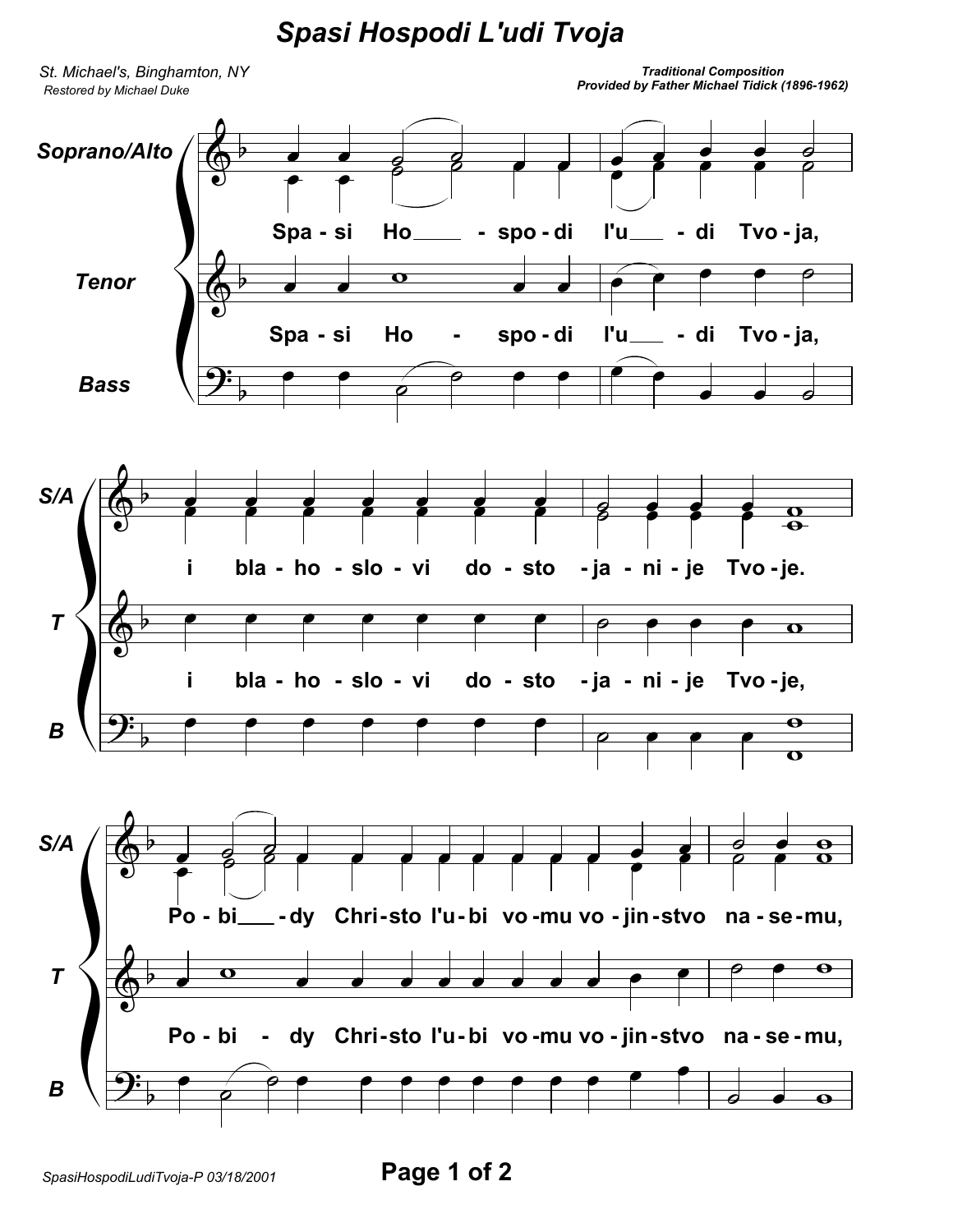## *Spasi Hospodi L'udi Tvoja*

*St. Michael's, Binghamton, NY Restored by Michael Duke*

*Traditional Composition Provided by Father Michael Tidick (1896-1962)*